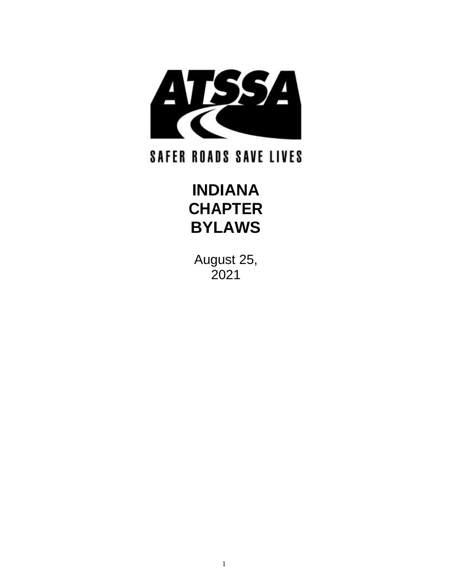

# **SAFER ROADS SAVE LIVES**

# **INDIANA CHAPTER BYLAWS**

August 25, 2021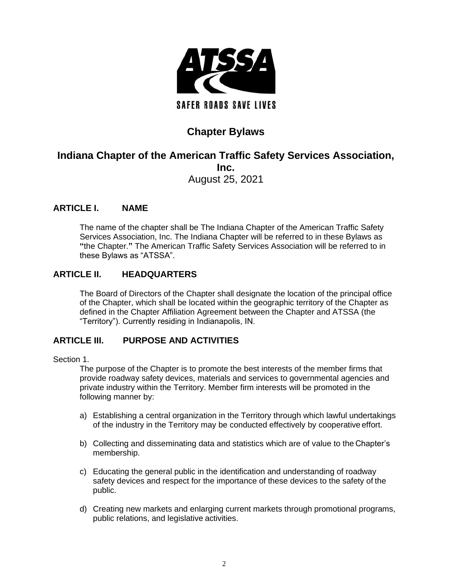

# **Chapter Bylaws**

# **Indiana Chapter of the American Traffic Safety Services Association, Inc.** August 25, 2021

# **ARTICLE I. NAME**

The name of the chapter shall be The Indiana Chapter of the American Traffic Safety Services Association, Inc. The Indiana Chapter will be referred to in these Bylaws as **"**the Chapter.**"** The American Traffic Safety Services Association will be referred to in these Bylaws as "ATSSA".

# **ARTICLE II. HEADQUARTERS**

The Board of Directors of the Chapter shall designate the location of the principal office of the Chapter, which shall be located within the geographic territory of the Chapter as defined in the Chapter Affiliation Agreement between the Chapter and ATSSA (the "Territory"). Currently residing in Indianapolis, IN.

# **ARTICLE III. PURPOSE AND ACTIVITIES**

# Section 1.

The purpose of the Chapter is to promote the best interests of the member firms that provide roadway safety devices, materials and services to governmental agencies and private industry within the Territory. Member firm interests will be promoted in the following manner by:

- a) Establishing a central organization in the Territory through which lawful undertakings of the industry in the Territory may be conducted effectively by cooperative effort.
- b) Collecting and disseminating data and statistics which are of value to the Chapter's membership.
- c) Educating the general public in the identification and understanding of roadway safety devices and respect for the importance of these devices to the safety of the public.
- d) Creating new markets and enlarging current markets through promotional programs, public relations, and legislative activities.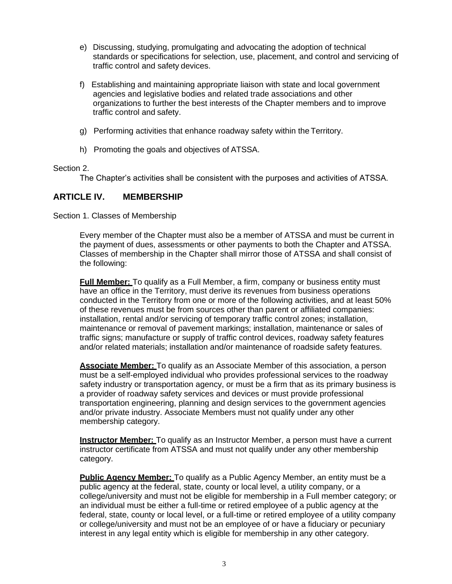- e) Discussing, studying, promulgating and advocating the adoption of technical standards or specifications for selection, use, placement, and control and servicing of traffic control and safety devices.
- f) Establishing and maintaining appropriate liaison with state and local government agencies and legislative bodies and related trade associations and other organizations to further the best interests of the Chapter members and to improve traffic control and safety.
- g) Performing activities that enhance roadway safety within the Territory.
- h) Promoting the goals and objectives of ATSSA.

# Section 2.

The Chapter's activities shall be consistent with the purposes and activities of ATSSA.

# **ARTICLE IV. MEMBERSHIP**

Section 1. Classes of Membership

Every member of the Chapter must also be a member of ATSSA and must be current in the payment of dues, assessments or other payments to both the Chapter and ATSSA. Classes of membership in the Chapter shall mirror those of ATSSA and shall consist of the following:

**Full Member:** To qualify as a Full Member, a firm, company or business entity must have an office in the Territory, must derive its revenues from business operations conducted in the Territory from one or more of the following activities, and at least 50% of these revenues must be from sources other than parent or affiliated companies: installation, rental and/or servicing of temporary traffic control zones; installation, maintenance or removal of pavement markings; installation, maintenance or sales of traffic signs; manufacture or supply of traffic control devices, roadway safety features and/or related materials; installation and/or maintenance of roadside safety features.

**Associate Member:** To qualify as an Associate Member of this association, a person must be a self-employed individual who provides professional services to the roadway safety industry or transportation agency, or must be a firm that as its primary business is a provider of roadway safety services and devices or must provide professional transportation engineering, planning and design services to the government agencies and/or private industry. Associate Members must not qualify under any other membership category.

**Instructor Member:** To qualify as an Instructor Member, a person must have a current instructor certificate from ATSSA and must not qualify under any other membership category.

**Public Agency Member:** To qualify as a Public Agency Member, an entity must be a public agency at the federal, state, county or local level, a utility company, or a college/university and must not be eligible for membership in a Full member category; or an individual must be either a full-time or retired employee of a public agency at the federal, state, county or local level, or a full-time or retired employee of a utility company or college/university and must not be an employee of or have a fiduciary or pecuniary interest in any legal entity which is eligible for membership in any other category.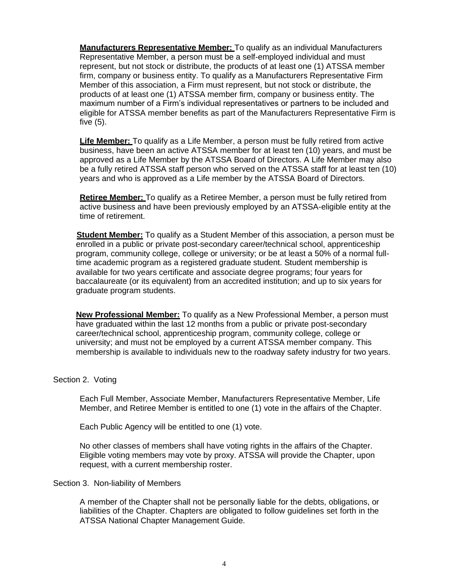**Manufacturers Representative Member:** To qualify as an individual Manufacturers Representative Member, a person must be a self-employed individual and must represent, but not stock or distribute, the products of at least one (1) ATSSA member firm, company or business entity. To qualify as a Manufacturers Representative Firm Member of this association, a Firm must represent, but not stock or distribute, the products of at least one (1) ATSSA member firm, company or business entity. The maximum number of a Firm's individual representatives or partners to be included and eligible for ATSSA member benefits as part of the Manufacturers Representative Firm is five (5).

**Life Member:** To qualify as a Life Member, a person must be fully retired from active business, have been an active ATSSA member for at least ten (10) years, and must be approved as a Life Member by the ATSSA Board of Directors. A Life Member may also be a fully retired ATSSA staff person who served on the ATSSA staff for at least ten (10) years and who is approved as a Life member by the ATSSA Board of Directors.

**Retiree Member:** To qualify as a Retiree Member, a person must be fully retired from active business and have been previously employed by an ATSSA-eligible entity at the time of retirement.

**Student Member:** To qualify as a Student Member of this association, a person must be enrolled in a public or private post-secondary career/technical school, apprenticeship program, community college, college or university; or be at least a 50% of a normal fulltime academic program as a registered graduate student. Student membership is available for two years certificate and associate degree programs; four years for baccalaureate (or its equivalent) from an accredited institution; and up to six years for graduate program students.

**New Professional Member:** To qualify as a New Professional Member, a person must have graduated within the last 12 months from a public or private post-secondary career/technical school, apprenticeship program, community college, college or university; and must not be employed by a current ATSSA member company. This membership is available to individuals new to the roadway safety industry for two years.

## Section 2. Voting

Each Full Member, Associate Member, Manufacturers Representative Member, Life Member, and Retiree Member is entitled to one (1) vote in the affairs of the Chapter.

Each Public Agency will be entitled to one (1) vote.

No other classes of members shall have voting rights in the affairs of the Chapter. Eligible voting members may vote by proxy. ATSSA will provide the Chapter, upon request, with a current membership roster.

Section 3. Non-liability of Members

A member of the Chapter shall not be personally liable for the debts, obligations, or liabilities of the Chapter. Chapters are obligated to follow guidelines set forth in the ATSSA National Chapter Management Guide.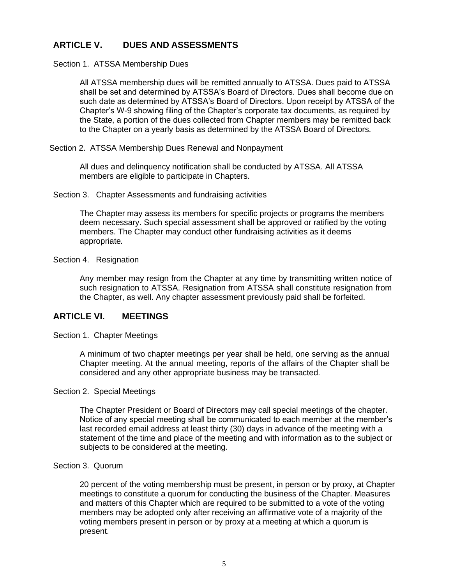# **ARTICLE V. DUES AND ASSESSMENTS**

Section 1. ATSSA Membership Dues

All ATSSA membership dues will be remitted annually to ATSSA. Dues paid to ATSSA shall be set and determined by ATSSA's Board of Directors. Dues shall become due on such date as determined by ATSSA's Board of Directors. Upon receipt by ATSSA of the Chapter's W-9 showing filing of the Chapter's corporate tax documents, as required by the State, a portion of the dues collected from Chapter members may be remitted back to the Chapter on a yearly basis as determined by the ATSSA Board of Directors.

Section 2. ATSSA Membership Dues Renewal and Nonpayment

All dues and delinquency notification shall be conducted by ATSSA. All ATSSA members are eligible to participate in Chapters.

Section 3. Chapter Assessments and fundraising activities

The Chapter may assess its members for specific projects or programs the members deem necessary. Such special assessment shall be approved or ratified by the voting members. The Chapter may conduct other fundraising activities as it deems appropriate*.*

Section 4. Resignation

Any member may resign from the Chapter at any time by transmitting written notice of such resignation to ATSSA. Resignation from ATSSA shall constitute resignation from the Chapter, as well. Any chapter assessment previously paid shall be forfeited.

# **ARTICLE VI. MEETINGS**

Section 1. Chapter Meetings

A minimum of two chapter meetings per year shall be held, one serving as the annual Chapter meeting. At the annual meeting, reports of the affairs of the Chapter shall be considered and any other appropriate business may be transacted.

#### Section 2. Special Meetings

The Chapter President or Board of Directors may call special meetings of the chapter. Notice of any special meeting shall be communicated to each member at the member's last recorded email address at least thirty (30) days in advance of the meeting with a statement of the time and place of the meeting and with information as to the subject or subjects to be considered at the meeting.

#### Section 3. Quorum

20 percent of the voting membership must be present, in person or by proxy, at Chapter meetings to constitute a quorum for conducting the business of the Chapter. Measures and matters of this Chapter which are required to be submitted to a vote of the voting members may be adopted only after receiving an affirmative vote of a majority of the voting members present in person or by proxy at a meeting at which a quorum is present.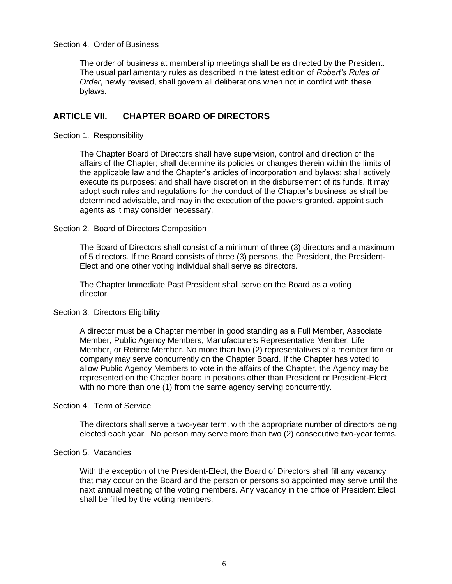## Section 4. Order of Business

The order of business at membership meetings shall be as directed by the President. The usual parliamentary rules as described in the latest edition of *Robert's Rules of Order*, newly revised, shall govern all deliberations when not in conflict with these bylaws.

# **ARTICLE VII. CHAPTER BOARD OF DIRECTORS**

Section 1. Responsibility

The Chapter Board of Directors shall have supervision, control and direction of the affairs of the Chapter; shall determine its policies or changes therein within the limits of the applicable law and the Chapter's articles of incorporation and bylaws; shall actively execute its purposes; and shall have discretion in the disbursement of its funds. It may adopt such rules and regulations for the conduct of the Chapter's business as shall be determined advisable, and may in the execution of the powers granted, appoint such agents as it may consider necessary.

#### Section 2. Board of Directors Composition

The Board of Directors shall consist of a minimum of three (3) directors and a maximum of 5 directors. If the Board consists of three (3) persons, the President, the President-Elect and one other voting individual shall serve as directors.

The Chapter Immediate Past President shall serve on the Board as a voting director.

#### Section 3. Directors Eligibility

A director must be a Chapter member in good standing as a Full Member, Associate Member, Public Agency Members, Manufacturers Representative Member, Life Member, or Retiree Member. No more than two (2) representatives of a member firm or company may serve concurrently on the Chapter Board. If the Chapter has voted to allow Public Agency Members to vote in the affairs of the Chapter, the Agency may be represented on the Chapter board in positions other than President or President-Elect with no more than one (1) from the same agency serving concurrently.

## Section 4. Term of Service

The directors shall serve a two-year term, with the appropriate number of directors being elected each year. No person may serve more than two (2) consecutive two-year terms.

#### Section 5. Vacancies

With the exception of the President-Elect, the Board of Directors shall fill any vacancy that may occur on the Board and the person or persons so appointed may serve until the next annual meeting of the voting members. Any vacancy in the office of President Elect shall be filled by the voting members.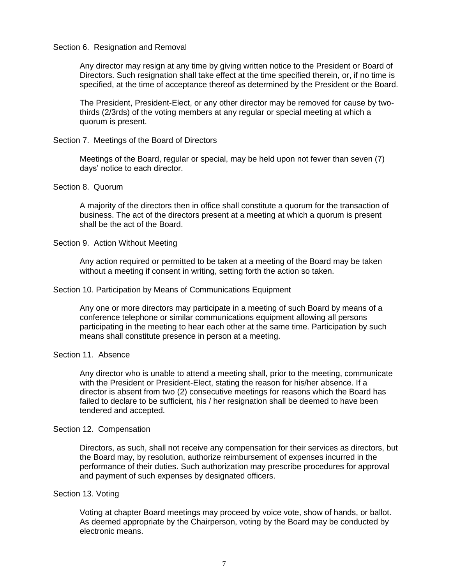#### Section 6. Resignation and Removal

Any director may resign at any time by giving written notice to the President or Board of Directors. Such resignation shall take effect at the time specified therein, or, if no time is specified, at the time of acceptance thereof as determined by the President or the Board.

The President, President-Elect, or any other director may be removed for cause by twothirds (2/3rds) of the voting members at any regular or special meeting at which a quorum is present.

#### Section 7. Meetings of the Board of Directors

Meetings of the Board, regular or special, may be held upon not fewer than seven (7) days' notice to each director.

#### Section 8. Quorum

A majority of the directors then in office shall constitute a quorum for the transaction of business. The act of the directors present at a meeting at which a quorum is present shall be the act of the Board.

#### Section 9. Action Without Meeting

Any action required or permitted to be taken at a meeting of the Board may be taken without a meeting if consent in writing, setting forth the action so taken.

#### Section 10. Participation by Means of Communications Equipment

Any one or more directors may participate in a meeting of such Board by means of a conference telephone or similar communications equipment allowing all persons participating in the meeting to hear each other at the same time. Participation by such means shall constitute presence in person at a meeting.

#### Section 11. Absence

Any director who is unable to attend a meeting shall, prior to the meeting, communicate with the President or President-Elect, stating the reason for his/her absence. If a director is absent from two (2) consecutive meetings for reasons which the Board has failed to declare to be sufficient, his / her resignation shall be deemed to have been tendered and accepted.

#### Section 12. Compensation

Directors, as such, shall not receive any compensation for their services as directors, but the Board may, by resolution, authorize reimbursement of expenses incurred in the performance of their duties. Such authorization may prescribe procedures for approval and payment of such expenses by designated officers.

#### Section 13. Voting

Voting at chapter Board meetings may proceed by voice vote, show of hands, or ballot. As deemed appropriate by the Chairperson, voting by the Board may be conducted by electronic means.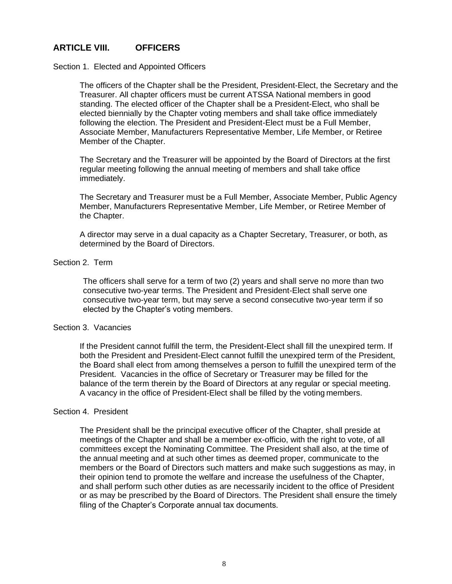# **ARTICLE VIII. OFFICERS**

#### Section 1. Elected and Appointed Officers

The officers of the Chapter shall be the President, President-Elect, the Secretary and the Treasurer. All chapter officers must be current ATSSA National members in good standing. The elected officer of the Chapter shall be a President-Elect, who shall be elected biennially by the Chapter voting members and shall take office immediately following the election. The President and President-Elect must be a Full Member, Associate Member, Manufacturers Representative Member, Life Member, or Retiree Member of the Chapter.

The Secretary and the Treasurer will be appointed by the Board of Directors at the first regular meeting following the annual meeting of members and shall take office immediately.

The Secretary and Treasurer must be a Full Member, Associate Member, Public Agency Member, Manufacturers Representative Member, Life Member, or Retiree Member of the Chapter.

A director may serve in a dual capacity as a Chapter Secretary, Treasurer, or both, as determined by the Board of Directors.

#### Section 2. Term

The officers shall serve for a term of two (2) years and shall serve no more than two consecutive two-year terms. The President and President-Elect shall serve one consecutive two-year term, but may serve a second consecutive two-year term if so elected by the Chapter's voting members.

#### Section 3. Vacancies

If the President cannot fulfill the term, the President-Elect shall fill the unexpired term. If both the President and President-Elect cannot fulfill the unexpired term of the President, the Board shall elect from among themselves a person to fulfill the unexpired term of the President. Vacancies in the office of Secretary or Treasurer may be filled for the balance of the term therein by the Board of Directors at any regular or special meeting. A vacancy in the office of President-Elect shall be filled by the voting members.

#### Section 4. President

The President shall be the principal executive officer of the Chapter, shall preside at meetings of the Chapter and shall be a member ex-officio, with the right to vote, of all committees except the Nominating Committee. The President shall also, at the time of the annual meeting and at such other times as deemed proper, communicate to the members or the Board of Directors such matters and make such suggestions as may, in their opinion tend to promote the welfare and increase the usefulness of the Chapter, and shall perform such other duties as are necessarily incident to the office of President or as may be prescribed by the Board of Directors. The President shall ensure the timely filing of the Chapter's Corporate annual tax documents.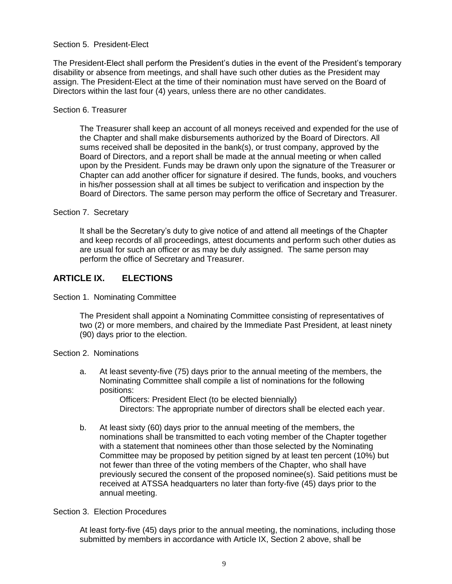# Section 5. President-Elect

The President-Elect shall perform the President's duties in the event of the President's temporary disability or absence from meetings, and shall have such other duties as the President may assign. The President-Elect at the time of their nomination must have served on the Board of Directors within the last four (4) years, unless there are no other candidates.

## Section 6. Treasurer

The Treasurer shall keep an account of all moneys received and expended for the use of the Chapter and shall make disbursements authorized by the Board of Directors. All sums received shall be deposited in the bank(s), or trust company, approved by the Board of Directors, and a report shall be made at the annual meeting or when called upon by the President. Funds may be drawn only upon the signature of the Treasurer or Chapter can add another officer for signature if desired. The funds, books, and vouchers in his/her possession shall at all times be subject to verification and inspection by the Board of Directors. The same person may perform the office of Secretary and Treasurer.

## Section 7. Secretary

It shall be the Secretary's duty to give notice of and attend all meetings of the Chapter and keep records of all proceedings, attest documents and perform such other duties as are usual for such an officer or as may be duly assigned. The same person may perform the office of Secretary and Treasurer.

# **ARTICLE IX. ELECTIONS**

Section 1. Nominating Committee

The President shall appoint a Nominating Committee consisting of representatives of two (2) or more members, and chaired by the Immediate Past President, at least ninety (90) days prior to the election.

## Section 2. Nominations

a. At least seventy-five (75) days prior to the annual meeting of the members, the Nominating Committee shall compile a list of nominations for the following positions:

Officers: President Elect (to be elected biennially) Directors: The appropriate number of directors shall be elected each year.

b. At least sixty (60) days prior to the annual meeting of the members, the nominations shall be transmitted to each voting member of the Chapter together with a statement that nominees other than those selected by the Nominating Committee may be proposed by petition signed by at least ten percent (10%) but not fewer than three of the voting members of the Chapter, who shall have previously secured the consent of the proposed nominee(s). Said petitions must be received at ATSSA headquarters no later than forty-five (45) days prior to the annual meeting.

# Section 3. Election Procedures

At least forty-five (45) days prior to the annual meeting, the nominations, including those submitted by members in accordance with Article IX, Section 2 above, shall be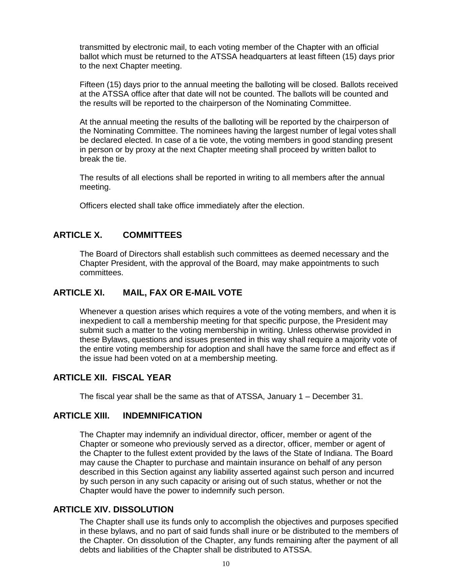transmitted by electronic mail, to each voting member of the Chapter with an official ballot which must be returned to the ATSSA headquarters at least fifteen (15) days prior to the next Chapter meeting.

Fifteen (15) days prior to the annual meeting the balloting will be closed. Ballots received at the ATSSA office after that date will not be counted. The ballots will be counted and the results will be reported to the chairperson of the Nominating Committee.

At the annual meeting the results of the balloting will be reported by the chairperson of the Nominating Committee. The nominees having the largest number of legal votes shall be declared elected. In case of a tie vote, the voting members in good standing present in person or by proxy at the next Chapter meeting shall proceed by written ballot to break the tie.

The results of all elections shall be reported in writing to all members after the annual meeting.

Officers elected shall take office immediately after the election.

# **ARTICLE X. COMMITTEES**

The Board of Directors shall establish such committees as deemed necessary and the Chapter President, with the approval of the Board, may make appointments to such committees.

# **ARTICLE XI. MAIL, FAX OR E-MAIL VOTE**

Whenever a question arises which requires a vote of the voting members, and when it is inexpedient to call a membership meeting for that specific purpose, the President may submit such a matter to the voting membership in writing. Unless otherwise provided in these Bylaws, questions and issues presented in this way shall require a majority vote of the entire voting membership for adoption and shall have the same force and effect as if the issue had been voted on at a membership meeting.

# **ARTICLE XII. FISCAL YEAR**

The fiscal year shall be the same as that of ATSSA, January 1 – December 31.

# **ARTICLE XIII. INDEMNIFICATION**

The Chapter may indemnify an individual director, officer, member or agent of the Chapter or someone who previously served as a director, officer, member or agent of the Chapter to the fullest extent provided by the laws of the State of Indiana. The Board may cause the Chapter to purchase and maintain insurance on behalf of any person described in this Section against any liability asserted against such person and incurred by such person in any such capacity or arising out of such status, whether or not the Chapter would have the power to indemnify such person.

# **ARTICLE XIV. DISSOLUTION**

The Chapter shall use its funds only to accomplish the objectives and purposes specified in these bylaws, and no part of said funds shall inure or be distributed to the members of the Chapter. On dissolution of the Chapter, any funds remaining after the payment of all debts and liabilities of the Chapter shall be distributed to ATSSA.